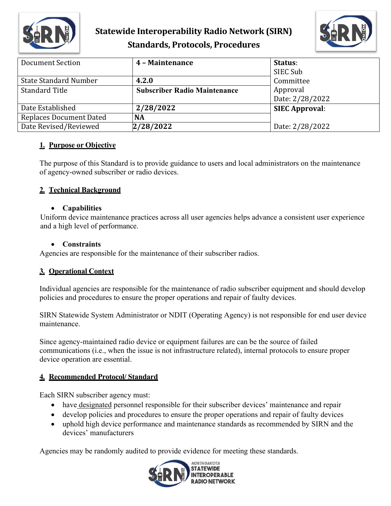

## **Statewide Interoperability Radio Network (SIRN) Standards, Protocols, Procedures**



| Document Section               | 4 - Maintenance                     | Status:               |
|--------------------------------|-------------------------------------|-----------------------|
|                                |                                     | SIEC Sub              |
| <b>State Standard Number</b>   | 4.2.0                               | Committee             |
| <b>Standard Title</b>          | <b>Subscriber Radio Maintenance</b> | Approval              |
|                                |                                     | Date: 2/28/2022       |
| Date Established               | 2/28/2022                           | <b>SIEC Approval:</b> |
| <b>Replaces Document Dated</b> | <b>NA</b>                           |                       |
| Date Revised/Reviewed          | 2/28/2022                           | Date: 2/28/2022       |

### **1. Purpose or Objective**

The purpose of this Standard is to provide guidance to users and local administrators on the maintenance of agency-owned subscriber or radio devices.

### **2. Technical Background**

#### • **Capabilities**

Uniform device maintenance practices across all user agencies helps advance a consistent user experience and a high level of performance.

#### • **Constraints**

Agencies are responsible for the maintenance of their subscriber radios.

### **3. Operational Context**

Individual agencies are responsible for the maintenance of radio subscriber equipment and should develop policies and procedures to ensure the proper operations and repair of faulty devices.

SIRN Statewide System Administrator or NDIT (Operating Agency) is not responsible for end user device maintenance.

Since agency-maintained radio device or equipment failures are can be the source of failed communications (i.e., when the issue is not infrastructure related), internal protocols to ensure proper device operation are essential.

### **4. Recommended Protocol/ Standard**

Each SIRN subscriber agency must:

- have designated personnel responsible for their subscriber devices' maintenance and repair
- develop policies and procedures to ensure the proper operations and repair of faulty devices
- uphold high device performance and maintenance standards as recommended by SIRN and the devices' manufacturers

Agencies may be randomly audited to provide evidence for meeting these standards.